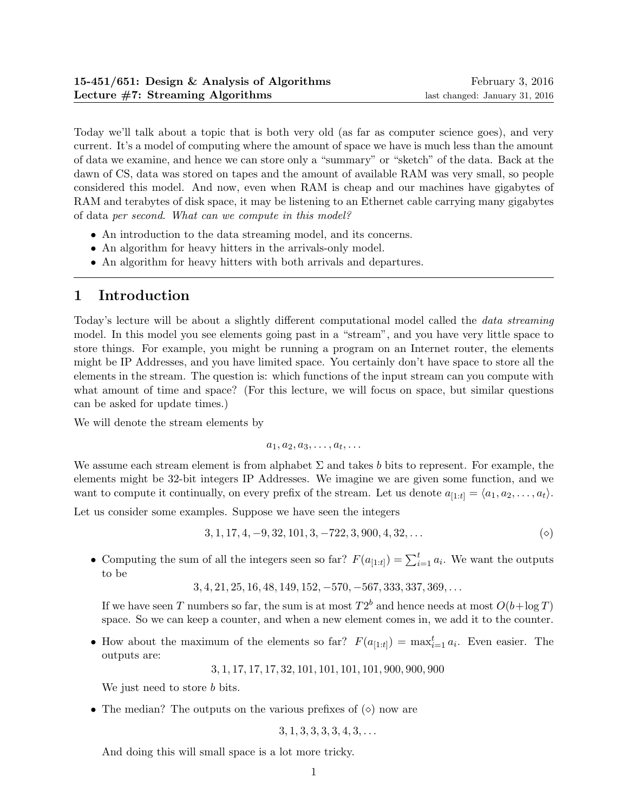Today we'll talk about a topic that is both very old (as far as computer science goes), and very current. It's a model of computing where the amount of space we have is much less than the amount of data we examine, and hence we can store only a "summary" or "sketch" of the data. Back at the dawn of CS, data was stored on tapes and the amount of available RAM was very small, so people considered this model. And now, even when RAM is cheap and our machines have gigabytes of RAM and terabytes of disk space, it may be listening to an Ethernet cable carrying many gigabytes of data per second. What can we compute in this model?

- An introduction to the data streaming model, and its concerns.
- An algorithm for heavy hitters in the arrivals-only model.
- An algorithm for heavy hitters with both arrivals and departures.

# 1 Introduction

Today's lecture will be about a slightly different computational model called the data streaming model. In this model you see elements going past in a "stream", and you have very little space to store things. For example, you might be running a program on an Internet router, the elements might be IP Addresses, and you have limited space. You certainly don't have space to store all the elements in the stream. The question is: which functions of the input stream can you compute with what amount of time and space? (For this lecture, we will focus on space, but similar questions can be asked for update times.)

We will denote the stream elements by

$$
a_1, a_2, a_3, \ldots, a_t, \ldots
$$

We assume each stream element is from alphabet  $\Sigma$  and takes b bits to represent. For example, the elements might be 32-bit integers IP Addresses. We imagine we are given some function, and we want to compute it continually, on every prefix of the stream. Let us denote  $a_{[1:t]} = \langle a_1, a_2, \ldots, a_t \rangle$ .

Let us consider some examples. Suppose we have seen the integers

$$
3, 1, 17, 4, -9, 32, 101, 3, -722, 3, 900, 4, 32, \dots
$$
 (9)

• Computing the sum of all the integers seen so far?  $F(a_{[1:t]}) = \sum_{i=1}^{t} a_i$ . We want the outputs to be

$$
3, 4, 21, 25, 16, 48, 149, 152, -570, -567, 333, 337, 369, \ldots
$$

If we have seen T numbers so far, the sum is at most  $T2^b$  and hence needs at most  $O(b + \log T)$ space. So we can keep a counter, and when a new element comes in, we add it to the counter.

• How about the maximum of the elements so far?  $F(a_{[1:t]}) = \max_{i=1}^{t} a_i$ . Even easier. The outputs are:

3, 1, 17, 17, 17, 32, 101, 101, 101, 101, 900, 900, 900

We just need to store *b* bits.

• The median? The outputs on the various prefixes of  $(\diamond)$  now are

$$
3, 1, 3, 3, 3, 3, 4, 3, \ldots
$$

And doing this will small space is a lot more tricky.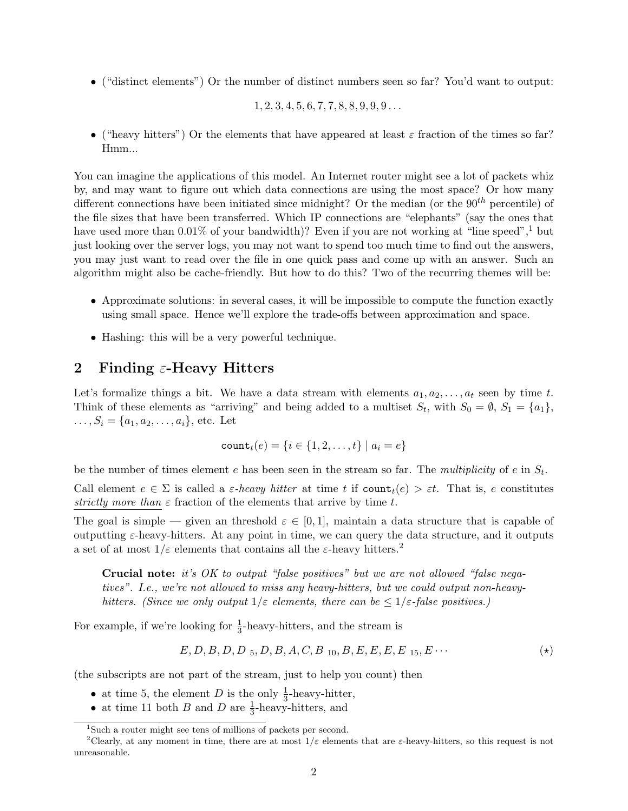• ("distinct elements") Or the number of distinct numbers seen so far? You'd want to output:

$$
1, 2, 3, 4, 5, 6, 7, 7, 8, 8, 9, 9, 9, \ldots
$$

• ("heavy hitters") Or the elements that have appeared at least  $\varepsilon$  fraction of the times so far? Hmm...

You can imagine the applications of this model. An Internet router might see a lot of packets whiz by, and may want to figure out which data connections are using the most space? Or how many different connections have been initiated since midnight? Or the median (or the  $90^{th}$  percentile) of the file sizes that have been transferred. Which IP connections are "elephants" (say the ones that have used more than  $0.01\%$  of your bandwidth)? Even if you are not working at "line speed",  $1$  but just looking over the server logs, you may not want to spend too much time to find out the answers, you may just want to read over the file in one quick pass and come up with an answer. Such an algorithm might also be cache-friendly. But how to do this? Two of the recurring themes will be:

- Approximate solutions: in several cases, it will be impossible to compute the function exactly using small space. Hence we'll explore the trade-offs between approximation and space.
- Hashing: this will be a very powerful technique.

# 2 Finding  $\varepsilon$ -Heavy Hitters

Let's formalize things a bit. We have a data stream with elements  $a_1, a_2, \ldots, a_t$  seen by time t. Think of these elements as "arriving" and being added to a multiset  $S_t$ , with  $S_0 = \emptyset$ ,  $S_1 = \{a_1\}$ ,  $\ldots, S_i = \{a_1, a_2, \ldots, a_i\},$  etc. Let

count<sub>t</sub>(
$$
e
$$
) = { $i \in \{1, 2, ..., t\} | a_i = e$ }

be the number of times element e has been seen in the stream so far. The multiplicity of e in  $S_t$ .

Call element  $e \in \Sigma$  is called a  $\varepsilon$ -heavy hitter at time t if  $\text{count}_t(e) > \varepsilon t$ . That is, e constitutes strictly more than  $\varepsilon$  fraction of the elements that arrive by time t.

The goal is simple — given an threshold  $\varepsilon \in [0,1]$ , maintain a data structure that is capable of outputting  $\varepsilon$ -heavy-hitters. At any point in time, we can query the data structure, and it outputs a set of at most  $1/\varepsilon$  elements that contains all the  $\varepsilon$ -heavy hitters.<sup>2</sup>

Crucial note: it's OK to output "false positives" but we are not allowed "false negatives". I.e., we're not allowed to miss any heavy-hitters, but we could output non-heavyhitters. (Since we only output  $1/\varepsilon$  elements, there can be  $\leq 1/\varepsilon$ -false positives.)

For example, if we're looking for  $\frac{1}{3}$ -heavy-hitters, and the stream is

$$
E, D, B, D, D, 5, D, B, A, C, B_{10}, B, E, E, E, E_{15}, E \cdots
$$
 (\*)

(the subscripts are not part of the stream, just to help you count) then

- at time 5, the element D is the only  $\frac{1}{3}$ -heavy-hitter,
- at time 5, the element *D* is the only  $\frac{1}{3}$ -heavy-hitters, and <br>• at time 11 both *B* and *D* are  $\frac{1}{3}$ -heavy-hitters, and

<sup>&</sup>lt;sup>1</sup>Such a router might see tens of millions of packets per second.

<sup>&</sup>lt;sup>2</sup>Clearly, at any moment in time, there are at most  $1/\varepsilon$  elements that are  $\varepsilon$ -heavy-hitters, so this request is not unreasonable.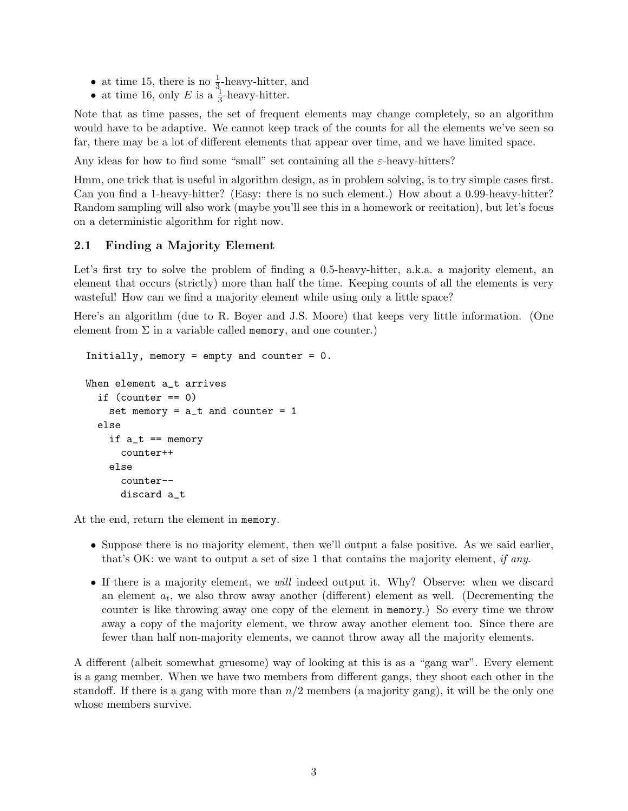- at time 15, there is no  $\frac{1}{3}$ -heavy-hitter, and
- at time 16, only E is a  $\frac{1}{3}$ -heavy-hitter.

Note that as time passes, the set of frequent elements may change completely, so an algorithm would have to be adaptive. We cannot keep track of the counts for all the elements we've seen so far, there may be a lot of different elements that appear over time, and we have limited space.

Any ideas for how to find some "small" set containing all the  $\varepsilon$ -heavy-hitters?

Hmm, one trick that is useful in algorithm design, as in problem solving, is to try simple cases first. Can you find a 1-heavy-hitter? (Easy: there is no such element.) How about a 0.99-heavy-hitter? Random sampling will also work (maybe you'll see this in a homework or recitation), but let's focus on a deterministic algorithm for right now.

# 2.1 Finding a Majority Element

Let's first try to solve the problem of finding a 0.5-heavy-hitter, a.k.a. a majority element, an element that occurs (strictly) more than half the time. Keeping counts of all the elements is very wasteful! How can we find a majority element while using only a little space?

Here's an algorithm (due to R. Boyer and J.S. Moore) that keeps very little information. (One element from  $\Sigma$  in a variable called memory, and one counter.)

```
Initially, memory = empty and counter = 0.
When element a_t arrives
  if \text{(counter == 0)}set memory = a_t and counter = 1else
    if a_t = \text{memory}counter++
    else
      counter--
      discard a_t
```
At the end, return the element in memory.

- Suppose there is no majority element, then we'll output a false positive. As we said earlier, that's OK: we want to output a set of size 1 that contains the majority element, if any.
- If there is a majority element, we will indeed output it. Why? Observe: when we discard an element  $a_t$ , we also throw away another (different) element as well. (Decrementing the counter is like throwing away one copy of the element in memory.) So every time we throw away a copy of the majority element, we throw away another element too. Since there are fewer than half non-majority elements, we cannot throw away all the majority elements.

A different (albeit somewhat gruesome) way of looking at this is as a "gang war". Every element is a gang member. When we have two members from different gangs, they shoot each other in the standoff. If there is a gang with more than  $n/2$  members (a majority gang), it will be the only one whose members survive.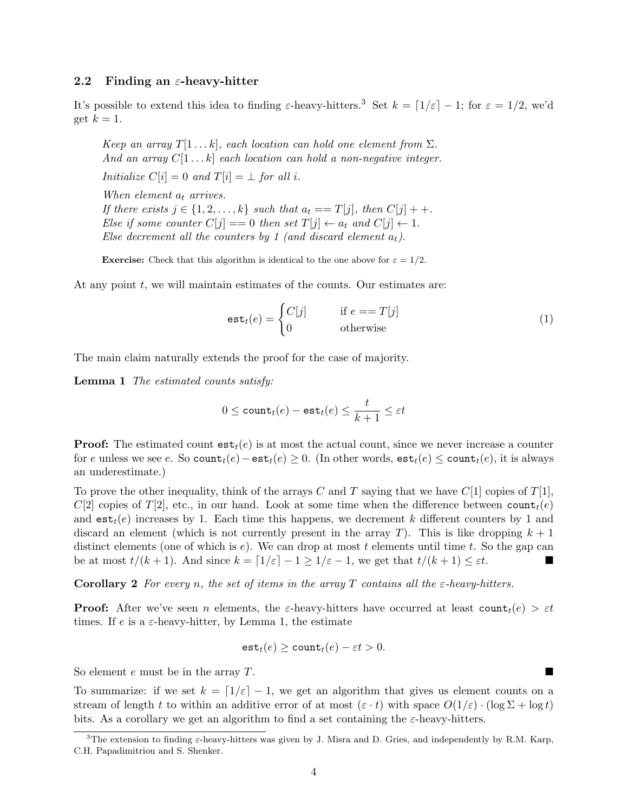## 2.2 Finding an  $\varepsilon$ -heavy-hitter

It's possible to extend this idea to finding  $\varepsilon$ -heavy-hitters.<sup>3</sup> Set  $k = \lfloor 1/\varepsilon \rfloor - 1$ ; for  $\varepsilon = 1/2$ , we'd get  $k = 1$ .

Keep an array  $T[1 \dots k]$ , each location can hold one element from  $\Sigma$ . And an array  $C[1 \dots k]$  each location can hold a non-negative integer. Initialize  $C[i] = 0$  and  $T[i] = \perp$  for all i.

When element  $a_t$  arrives. If there exists  $j \in \{1, 2, \ldots, k\}$  such that  $a_t == T[j]$ , then  $C[j] + +$ . Else if some counter  $C[j] == 0$  then set  $T[j] \leftarrow a_t$  and  $C[j] \leftarrow 1$ . Else decrement all the counters by 1 (and discard element  $a_t$ ).

**Exercise:** Check that this algorithm is identical to the one above for  $\varepsilon = 1/2$ .

At any point  $t$ , we will maintain estimates of the counts. Our estimates are:

$$
\text{est}_t(e) = \begin{cases} C[j] & \text{if } e == T[j] \\ 0 & \text{otherwise} \end{cases}
$$
 (1)

The main claim naturally extends the proof for the case of majority.

Lemma 1 The estimated counts satisfy:

$$
0 \leq \texttt{count}_{t}(e) - \texttt{est}_{t}(e) \leq \frac{t}{k+1} \leq \varepsilon t
$$

**Proof:** The estimated count  $ext{est}_t(e)$  is at most the actual count, since we never increase a counter for e unless we see e. So count $t(e)$  – est $t(e) \geq 0$ . (In other words, est $t(e) \leq$  count $t(e)$ , it is always an underestimate.)

To prove the other inequality, think of the arrays C and T saying that we have  $C[1]$  copies of  $T[1]$ , C[2] copies of T[2], etc., in our hand. Look at some time when the difference between  $count<sub>t</sub>(e)$ and  $est_t(e)$  increases by 1. Each time this happens, we decrement k different counters by 1 and discard an element (which is not currently present in the array T). This is like dropping  $k + 1$ distinct elements (one of which is  $e$ ). We can drop at most t elements until time t. So the gap can be at most  $t/(k+1)$ . And since  $k = \lfloor 1/\varepsilon \rfloor - 1 \geq 1/\varepsilon - 1$ , we get that  $t/(k+1) \leq \varepsilon t$ .

**Corollary 2** For every n, the set of items in the array T contains all the  $\varepsilon$ -heavy-hitters.

**Proof:** After we've seen n elements, the  $\varepsilon$ -heavy-hitters have occurred at least count $t(e) > \varepsilon t$ times. If e is a  $\varepsilon$ -heavy-hitter, by Lemma 1, the estimate

$$
\texttt{est}_t(e) \ge \texttt{count}_t(e) - \varepsilon t > 0.
$$

So element e must be in the array T.

To summarize: if we set  $k = \lfloor 1/\varepsilon \rfloor - 1$ , we get an algorithm that gives us element counts on a stream of length t to within an additive error of at most  $(\varepsilon \cdot t)$  with space  $O(1/\varepsilon) \cdot (\log \Sigma + \log t)$ bits. As a corollary we get an algorithm to find a set containing the  $\varepsilon$ -heavy-hitters.

<sup>&</sup>lt;sup>3</sup>The extension to finding  $\varepsilon$ -heavy-hitters was given by J. Misra and D. Gries, and independently by R.M. Karp, C.H. Papadimitriou and S. Shenker.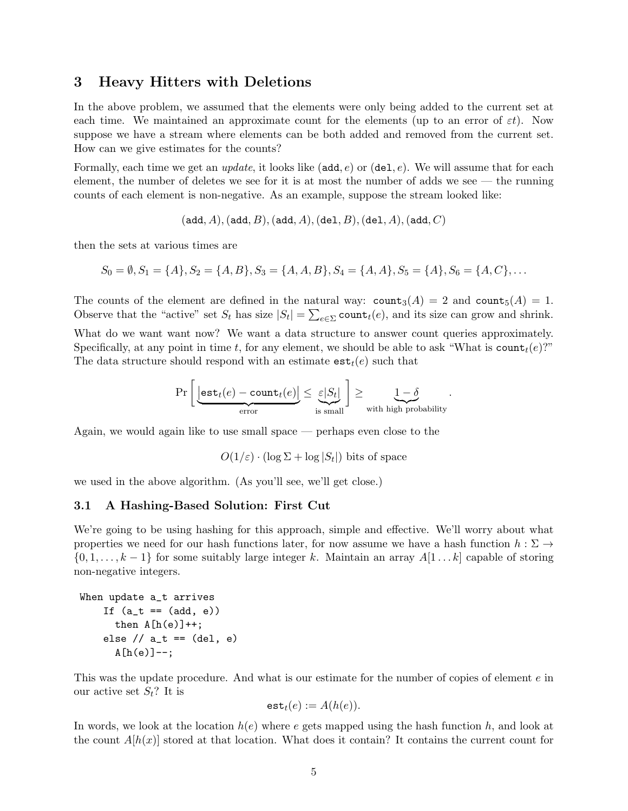# 3 Heavy Hitters with Deletions

In the above problem, we assumed that the elements were only being added to the current set at each time. We maintained an approximate count for the elements (up to an error of  $\varepsilon t$ ). Now suppose we have a stream where elements can be both added and removed from the current set. How can we give estimates for the counts?

Formally, each time we get an *update*, it looks like ( $add, e$ ) or  $(del, e)$ . We will assume that for each element, the number of deletes we see for it is at most the number of adds we see — the running counts of each element is non-negative. As an example, suppose the stream looked like:

 $(\text{add}, A), (\text{add}, B), (\text{add}, A), (\text{del}, B), (\text{del}, A), (\text{add}, C)$ 

then the sets at various times are

$$
S_0 = \emptyset, S_1 = \{A\}, S_2 = \{A, B\}, S_3 = \{A, A, B\}, S_4 = \{A, A\}, S_5 = \{A\}, S_6 = \{A, C\}, \ldots
$$

The counts of the element are defined in the natural way:  $\text{count}_3(A) = 2$  and  $\text{count}_5(A) = 1$ . Observe that the "active" set  $S_t$  has size  $|S_t| = \sum_{e \in \Sigma} \text{count}_t(e)$ , and its size can grow and shrink.

What do we want want now? We want a data structure to answer count queries approximately. Specifically, at any point in time t, for any element, we should be able to ask "What is  $count<sub>t</sub>(e)$ ?" The data structure should respond with an estimate  $est<sub>t</sub>(e)$  such that

$$
\Pr\left[\underbrace{\left\lfloor \text{est}_t(e) - \text{count}_t(e) \right\rfloor}_{\text{error}} \leq \underbrace{\varepsilon |S_t|}_{\text{is small}} \right] \geq \underbrace{1 - \delta}_{\text{with high probability}}.
$$

Again, we would again like to use small space — perhaps even close to the

 $O(1/\varepsilon) \cdot (\log \Sigma + \log |S_t|)$  bits of space

we used in the above algorithm. (As you'll see, we'll get close.)

## 3.1 A Hashing-Based Solution: First Cut

We're going to be using hashing for this approach, simple and effective. We'll worry about what properties we need for our hash functions later, for now assume we have a hash function  $h : \Sigma \to$  $\{0, 1, \ldots, k-1\}$  for some suitably large integer k. Maintain an array  $A[1 \ldots k]$  capable of storing non-negative integers.

```
When update a_t arrives
   If (a_t = (add, e))then A[h(e)]++;else // a_t == (del, e)A[h(e)]--;
```
This was the update procedure. And what is our estimate for the number of copies of element e in our active set  $S_t$ ? It is

$$
\mathtt{est}_t(e) := A(h(e)).
$$

In words, we look at the location  $h(e)$  where e gets mapped using the hash function h, and look at the count  $A[h(x)]$  stored at that location. What does it contain? It contains the current count for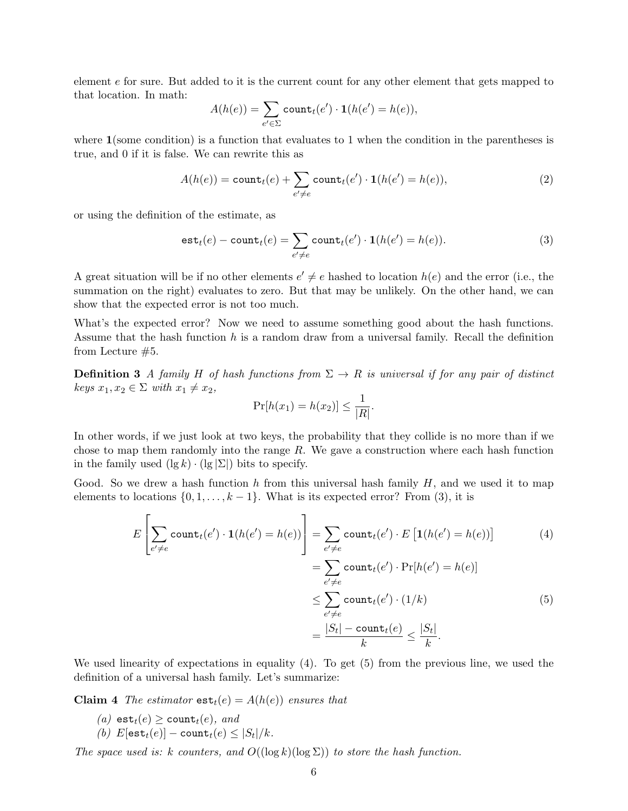element e for sure. But added to it is the current count for any other element that gets mapped to that location. In math:

$$
A(h(e)) = \sum_{e' \in \Sigma} \text{count}_t(e') \cdot \mathbf{1}(h(e') = h(e)),
$$

where  $\mathbf{1}$  (some condition) is a function that evaluates to 1 when the condition in the parentheses is true, and 0 if it is false. We can rewrite this as

$$
A(h(e)) = \text{count}_t(e) + \sum_{e' \neq e} \text{count}_t(e') \cdot \mathbf{1}(h(e') = h(e)),
$$
\n(2)

or using the definition of the estimate, as

$$
estt(e) - countt(e) = \sum_{e' \neq e} countt(e') \cdot 1(h(e') = h(e)).
$$
\n(3)

A great situation will be if no other elements  $e' \neq e$  hashed to location  $h(e)$  and the error (i.e., the summation on the right) evaluates to zero. But that may be unlikely. On the other hand, we can show that the expected error is not too much.

What's the expected error? Now we need to assume something good about the hash functions. Assume that the hash function  $h$  is a random draw from a universal family. Recall the definition from Lecture #5.

**Definition 3** A family H of hash functions from  $\Sigma \to R$  is universal if for any pair of distinct keys  $x_1, x_2 \in \Sigma$  with  $x_1 \neq x_2$ ,

$$
\Pr[h(x_1) = h(x_2)] \le \frac{1}{|R|}.
$$

In other words, if we just look at two keys, the probability that they collide is no more than if we chose to map them randomly into the range R. We gave a construction where each hash function in the family used  $(\lg k) \cdot (\lg |\Sigma|)$  bits to specify.

Good. So we drew a hash function h from this universal hash family  $H$ , and we used it to map elements to locations  $\{0, 1, \ldots, k-1\}$ . What is its expected error? From (3), it is

$$
E\left[\sum_{e' \neq e} \text{count}_t(e') \cdot \mathbf{1}(h(e') = h(e))\right] = \sum_{e' \neq e} \text{count}_t(e') \cdot E\left[\mathbf{1}(h(e') = h(e))\right]
$$
(4)  

$$
= \sum_{e' \neq e} \text{count}_t(e') \cdot \Pr[h(e') = h(e)]
$$
  

$$
\leq \sum_{e' \neq e} \text{count}_t(e') \cdot (1/k)
$$
(5)  

$$
= \frac{|S_t| - \text{count}_t(e)}{k} \leq \frac{|S_t|}{k}.
$$

We used linearity of expectations in equality (4). To get (5) from the previous line, we used the definition of a universal hash family. Let's summarize:

**Claim 4** The estimator  $extbf{est}_t(e) = A(h(e))$  ensures that

- (a) est $_t(e) \geq \text{count}_t(e)$ , and
- (b)  $E[\textsf{est}_t(e)] \textsf{count}_t(e) \leq |S_t|/k$ .

The space used is: k counters, and  $O((\log k)(\log \Sigma))$  to store the hash function.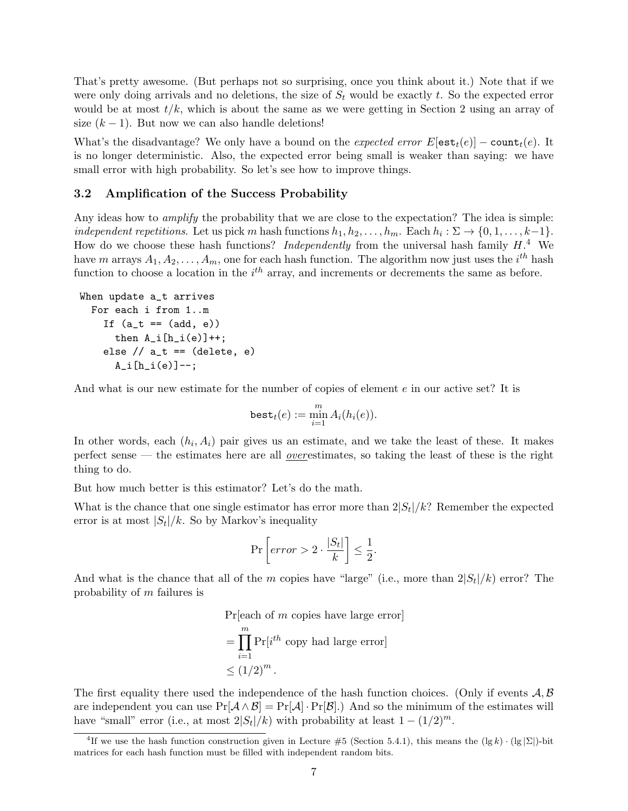That's pretty awesome. (But perhaps not so surprising, once you think about it.) Note that if we were only doing arrivals and no deletions, the size of  $S_t$  would be exactly t. So the expected error would be at most  $t/k$ , which is about the same as we were getting in Section 2 using an array of size  $(k - 1)$ . But now we can also handle deletions!

What's the disadvantage? We only have a bound on the expected error  $E[\text{est}_t(e)] - \text{count}_t(e)$ . It is no longer deterministic. Also, the expected error being small is weaker than saying: we have small error with high probability. So let's see how to improve things.

## 3.2 Amplification of the Success Probability

Any ideas how to *amplify* the probability that we are close to the expectation? The idea is simple: independent repetitions. Let us pick m hash functions  $h_1, h_2, \ldots, h_m$ . Each  $h_i : \Sigma \to \{0, 1, \ldots, k-1\}$ . How do we choose these hash functions? *Independently* from the universal hash family  $H^4$ . We have m arrays  $A_1, A_2, \ldots, A_m$ , one for each hash function. The algorithm now just uses the  $i^{th}$  hash function to choose a location in the  $i<sup>th</sup>$  array, and increments or decrements the same as before.

```
When update a_t arrives
 For each i from 1..m
    If (a_t = (add, e))then A_i[h_i(e)]++;else // a_t == (delete, e)A_i[h_i(e)] -;
```
And what is our new estimate for the number of copies of element e in our active set? It is

$$
\mathtt{best}_t(e) := \min_{i=1}^m A_i(h_i(e)).
$$

In other words, each  $(h_i, A_i)$  pair gives us an estimate, and we take the least of these. It makes perfect sense — the estimates here are all overestimates, so taking the least of these is the right thing to do.

But how much better is this estimator? Let's do the math.

What is the chance that one single estimator has error more than  $2|S_t|/k$ ? Remember the expected error is at most  $|S_t|/k$ . So by Markov's inequality

$$
\Pr\left[error > 2 \cdot \frac{|S_t|}{k} \right] \le \frac{1}{2}.
$$

And what is the chance that all of the m copies have "large" (i.e., more than  $2|S_t|/k$ ) error? The probability of m failures is

$$
\Pr[\text{each of } m \text{ copies have large error}]
$$

$$
= \prod_{i=1}^{m} \Pr[i^{th} \text{ copy had large error}]
$$

$$
\leq (1/2)^{m}.
$$

The first equality there used the independence of the hash function choices. (Only if events  $A, B$ are independent you can use  $Pr[\mathcal{A} \wedge \mathcal{B}] = Pr[\mathcal{A}] \cdot Pr[\mathcal{B}]$ . And so the minimum of the estimates will have "small" error (i.e., at most  $2|S_t|/k$ ) with probability at least  $1 - (1/2)^m$ .

<sup>&</sup>lt;sup>4</sup>If we use the hash function construction given in Lecture #5 (Section 5.4.1), this means the  $(\lg k) \cdot (\lg |\Sigma|)$ -bit matrices for each hash function must be filled with independent random bits.